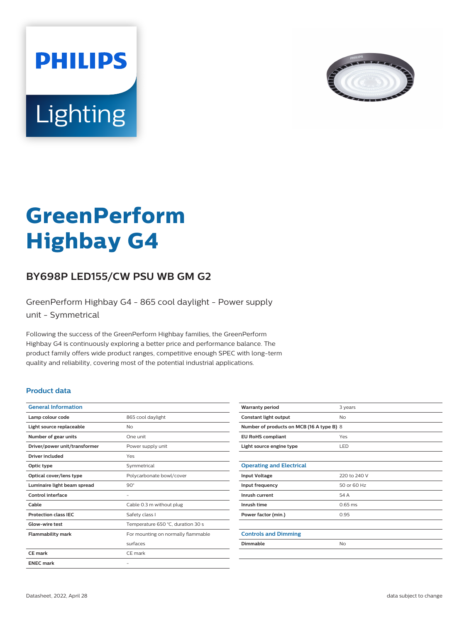



# **GreenPerform Highbay G4**

## **BY698P LED155/CW PSU WB GM G2**

GreenPerform Highbay G4 - 865 cool daylight - Power supply unit - Symmetrical

Following the success of the GreenPerform Highbay families, the GreenPerform Highbay G4 is continuously exploring a better price and performance balance. The product family offers wide product ranges, competitive enough SPEC with long-term quality and reliability, covering most of the potential industrial applications.

#### **Product data**

| <b>General Information</b>    |                                    |
|-------------------------------|------------------------------------|
| Lamp colour code              | 865 cool daylight                  |
| Light source replaceable      | No                                 |
| Number of gear units          | One unit                           |
| Driver/power unit/transformer | Power supply unit                  |
| Driver included               | Yes                                |
| Optic type                    | Symmetrical                        |
| Optical cover/lens type       | Polycarbonate bowl/cover           |
| Luminaire light beam spread   | $90^\circ$                         |
| Control interface             |                                    |
| Cable                         | Cable 0.3 m without plug           |
| <b>Protection class IEC</b>   | Safety class I                     |
| Glow-wire test                | Temperature 650 °C, duration 30 s  |
| <b>Flammability mark</b>      | For mounting on normally flammable |
|                               | surfaces                           |
| CF mark                       | CE mark                            |
| <b>ENEC mark</b>              |                                    |

| <b>Warranty period</b>                    | 3 years      |  |
|-------------------------------------------|--------------|--|
| Constant light output                     | <b>No</b>    |  |
| Number of products on MCB (16 A type B) 8 |              |  |
| <b>EU RoHS compliant</b>                  | Yes          |  |
| Light source engine type                  | LED          |  |
|                                           |              |  |
| <b>Operating and Electrical</b>           |              |  |
| <b>Input Voltage</b>                      | 220 to 240 V |  |
| Input frequency                           | 50 or 60 Hz  |  |
| Inrush current                            | 54 A         |  |
| Inrush time                               | $0.65$ ms    |  |
| Power factor (min.)                       | 0.95         |  |
|                                           |              |  |
| <b>Controls and Dimming</b>               |              |  |
| Dimmable                                  | <b>No</b>    |  |
|                                           |              |  |